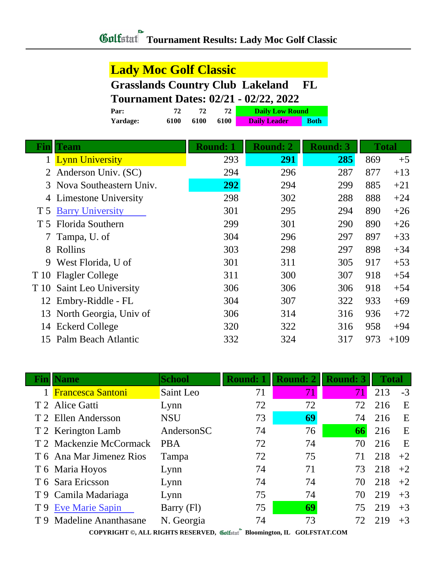#### **Lady Moc Golf Classic**

#### **Grasslands Country Club Lakeland FL Tournament Dates: 02/21 - 02/22, 2022**

| Par:            |      |      | 72   | <b>Daily Low Round</b> |             |
|-----------------|------|------|------|------------------------|-------------|
| <b>Yardage:</b> | 6100 | 6100 | 6100 | <b>Daily Leader</b>    | <b>Both</b> |

| <b>Fin</b> ll | Team                      | <b>Round: 1</b> | <b>Round: 2</b> | <b>Round: 3</b> |     | <b>Total</b> |
|---------------|---------------------------|-----------------|-----------------|-----------------|-----|--------------|
| 1             | <b>Lynn University</b>    | 293             | 291             | 285             | 869 | $+5$         |
|               | Anderson Univ. (SC)       | 294             | 296             | 287             | 877 | $+13$        |
|               | 3 Nova Southeastern Univ. | 292             | 294             | 299             | 885 | $+21$        |
| 4             | Limestone University      | 298             | 302             | 288             | 888 | $+24$        |
| T 5           | <b>Barry University</b>   | 301             | 295             | 294             | 890 | $+26$        |
|               | T 5 Florida Southern      | 299             | 301             | 290             | 890 | $+26$        |
|               | Tampa, U. of              | 304             | 296             | 297             | 897 | $+33$        |
| 8             | Rollins                   | 303             | 298             | 297             | 898 | $+34$        |
| 9             | West Florida, U of        | 301             | 311             | 305             | 917 | $+53$        |
| T 10          | <b>Flagler College</b>    | 311             | 300             | 307             | 918 | $+54$        |
| T 10          | Saint Leo University      | 306             | 306             | 306             | 918 | $+54$        |
|               | 12 Embry-Riddle - FL      | 304             | 307             | 322             | 933 | $+69$        |
| 13            | North Georgia, Univ of    | 306             | 314             | 316             | 936 | $+72$        |
| 14            | <b>Eckerd College</b>     | 320             | 322             | 316             | 958 | $+94$        |
|               | 15 Palm Beach Atlantic    | 332             | 324             | 317             | 973 | $+109$       |

| Finll | <b>Name</b>                 | <b>School</b> | <b>Round: 1</b> | <b>Round: 2</b> | <b>Round: 3</b> | <b>Total</b> |      |
|-------|-----------------------------|---------------|-----------------|-----------------|-----------------|--------------|------|
|       | <b>Francesca Santoni</b>    | Saint Leo     | 71              | 71              | 71              | 213          | $-3$ |
|       | T 2 Alice Gatti             | Lynn          | 72              | 72              | 72              | 216          | E    |
|       | T 2 Ellen Andersson         | <b>NSU</b>    | 73              | 69              | 74              | 216          | E    |
|       | T 2 Kerington Lamb          | AndersonSC    | 74              | 76              | 66              | 216          | E    |
|       | T 2 Mackenzie McCormack     | <b>PBA</b>    | 72              | 74              | 70              | 216          | E    |
|       | T 6 Ana Mar Jimenez Rios    | Tampa         | 72              | 75              | 71              | 218          | $+2$ |
|       | T 6 Maria Hoyos             | Lynn          | 74              | 71              | 73              | 218          | $+2$ |
|       | T 6 Sara Ericsson           | Lynn          | 74              | 74              | 70              | 218          | $+2$ |
|       | T 9 Camila Madariaga        | Lynn          | 75              | 74              | 70              | 219          | $+3$ |
| T9    | <b>Eve Marie Sapin</b>      | Barry (Fl)    | 75              | 69              | 75              | 219          | $+3$ |
| T 9   | <b>Madeline Ananthasane</b> | N. Georgia    | 74              | 73              | 72              | 219          | $+3$ |

**COPYRIGHT ©, ALL RIGHTS RESERVED, Bloomington, IL GOLFSTAT.COM**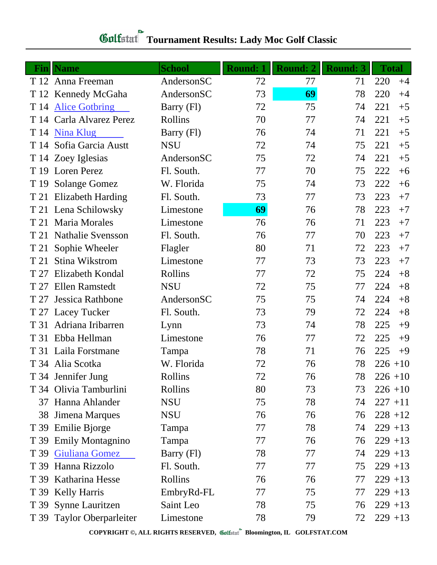# **Tournament Results: Lady Moc Golf Classic**

|      | <b>Fin</b> Name           | <b>School</b> | <b>Round: 1</b> | <b>Round: 2</b> | <b>Round: 3</b> | <b>Total</b> |
|------|---------------------------|---------------|-----------------|-----------------|-----------------|--------------|
|      | T 12 Anna Freeman         | AndersonSC    | 72              | 77              | 71              | 220<br>$+4$  |
|      | T 12 Kennedy McGaha       | AndersonSC    | 73              | 69              | 78              | 220<br>$+4$  |
| T 14 | <b>Alice Gotbring</b>     | Barry (Fl)    | 72              | 75              | 74              | 221<br>$+5$  |
|      | T 14 Carla Alvarez Perez  | Rollins       | 70              | 77              | 74              | 221<br>$+5$  |
|      | T 14 Nina Klug            | Barry (Fl)    | 76              | 74              | 71              | 221<br>$+5$  |
|      | T 14 Sofia Garcia Austt   | <b>NSU</b>    | 72              | 74              | 75              | 221<br>$+5$  |
|      | T 14 Zoey Iglesias        | AndersonSC    | 75              | 72              | 74              | 221<br>$+5$  |
|      | T 19 Loren Perez          | Fl. South.    | 77              | 70              | 75              | 222<br>$+6$  |
| T 19 | <b>Solange Gomez</b>      | W. Florida    | 75              | 74              | 73              | 222<br>$+6$  |
|      | T 21 Elizabeth Harding    | Fl. South.    | 73              | 77              | 73              | 223<br>$+7$  |
|      | T 21 Lena Schilowsky      | Limestone     | 69              | 76              | 78              | 223<br>$+7$  |
|      | T 21 Maria Morales        | Limestone     | 76              | 76              | 71              | 223<br>$+7$  |
|      | T 21 Nathalie Svensson    | Fl. South.    | 76              | 77              | 70              | 223<br>$+7$  |
| T 21 | Sophie Wheeler            | Flagler       | 80              | 71              | 72              | 223<br>$+7$  |
| T 21 | Stina Wikstrom            | Limestone     | 77              | 73              | 73              | 223<br>$+7$  |
| T 27 | Elizabeth Kondal          | Rollins       | 77              | 72              | 75              | 224<br>$+8$  |
| T 27 | <b>Ellen Ramstedt</b>     | <b>NSU</b>    | 72              | 75              | 77              | 224<br>$+8$  |
| T 27 | Jessica Rathbone          | AndersonSC    | 75              | 75              | 74              | 224<br>$+8$  |
|      | T 27 Lacey Tucker         | Fl. South.    | 73              | 79              | 72              | 224<br>$+8$  |
| T 31 | Adriana Iribarren         | Lynn          | 73              | 74              | 78              | 225<br>$+9$  |
| T 31 | Ebba Hellman              | Limestone     | 76              | 77              | 72              | 225<br>$+9$  |
|      | T 31 Laila Forstmane      | Tampa         | 78              | 71              | 76              | 225<br>$+9$  |
|      | T 34 Alia Scotka          | W. Florida    | 72              | 76              | 78              | $226 + 10$   |
|      | T 34 Jennifer Jung        | Rollins       | 72              | 76              | 78              | $226 + 10$   |
|      | T 34 Olivia Tamburlini    | Rollins       | 80              | 73              | 73              | $226 + 10$   |
|      | 37 Hanna Ahlander         | <b>NSU</b>    | 75              | 78              | 74              | $227 + 11$   |
| 38   | Jimena Marques            | <b>NSU</b>    | 76              | 76              | 76              | $228 + 12$   |
|      | T 39 Emilie Bjorge        | Tampa         | 77              | 78              | 74              | $229 + 13$   |
|      | T 39 Emily Montagnino     | Tampa         | 77              | 76              | 76              | $229 + 13$   |
|      | T 39 Giuliana Gomez       | Barry (Fl)    | 78              | 77              | 74              | $229 + 13$   |
| T 39 | Hanna Rizzolo             | Fl. South.    | 77              | 77              | 75              | $229 + 13$   |
|      | T 39 Katharina Hesse      | Rollins       | 76              | 76              | 77              | $229 + 13$   |
|      | T 39 Kelly Harris         | EmbryRd-FL    | 77              | 75              | 77              | $229 + 13$   |
|      | T 39 Synne Lauritzen      | Saint Leo     | 78              | 75              | 76              | $229 + 13$   |
|      | T 39 Taylor Oberparleiter | Limestone     | 78              | 79              | 72              | $229 + 13$   |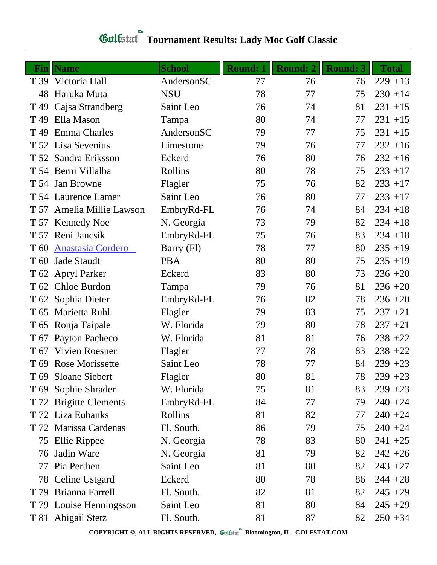# **Tournament Results: Lady Moc Golf Classic**

|                 | <b>Fin</b> Name           | <b>School</b> | <b>Round: 1</b> | <b>Round: 2</b> | <b>Round: 3</b> | <b>Total</b> |
|-----------------|---------------------------|---------------|-----------------|-----------------|-----------------|--------------|
|                 | T 39 Victoria Hall        | AndersonSC    | 77              | 76              | 76              | $229 + 13$   |
| 48              | Haruka Muta               | <b>NSU</b>    | 78              | 77              | 75              | $230 + 14$   |
| T <sub>49</sub> | Cajsa Strandberg          | Saint Leo     | 76              | 74              | 81              | $231 + 15$   |
| T <sub>49</sub> | Ella Mason                | Tampa         | 80              | 74              | 77              | $231 + 15$   |
| T 49            | <b>Emma Charles</b>       | AndersonSC    | 79              | 77              | 75              | $231 + 15$   |
|                 | T 52 Lisa Sevenius        | Limestone     | 79              | 76              | 77              | $232 + 16$   |
|                 | T 52 Sandra Eriksson      | Eckerd        | 76              | 80              | 76              | $232 + 16$   |
|                 | T 54 Berni Villalba       | Rollins       | 80              | 78              | 75              | $233 + 17$   |
|                 | T 54 Jan Browne           | Flagler       | 75              | 76              | 82              | $233 + 17$   |
|                 | T 54 Laurence Lamer       | Saint Leo     | 76              | 80              | 77              | $233 + 17$   |
|                 | T 57 Amelia Millie Lawson | EmbryRd-FL    | 76              | 74              | 84              | $234 + 18$   |
|                 | T 57 Kennedy Noe          | N. Georgia    | 73              | 79              | 82              | $234 + 18$   |
|                 | T 57 Reni Jancsik         | EmbryRd-FL    | 75              | 76              | 83              | $234 + 18$   |
| T 60            | <b>Anastasia Cordero</b>  | Barry (Fl)    | 78              | 77              | 80              | $235 + 19$   |
| T 60            | <b>Jade Staudt</b>        | <b>PBA</b>    | 80              | 80              | 75              | $235 + 19$   |
|                 | T 62 Apryl Parker         | Eckerd        | 83              | 80              | 73              | $236 + 20$   |
|                 | T 62 Chloe Burdon         | Tampa         | 79              | 76              | 81              | $236 + 20$   |
|                 | T 62 Sophia Dieter        | EmbryRd-FL    | 76              | 82              | 78              | $236 + 20$   |
|                 | T 65 Marietta Ruhl        | Flagler       | 79              | 83              | 75              | $237 + 21$   |
|                 | T 65 Ronja Taipale        | W. Florida    | 79              | 80              | 78              | $237 + 21$   |
|                 | T 67 Payton Pacheco       | W. Florida    | 81              | 81              | 76              | $238 + 22$   |
| T 67            | <b>Vivien Roesner</b>     | Flagler       | 77              | 78              | 83              | $238 + 22$   |
|                 | T 69 Rose Morissette      | Saint Leo     | 78              | 77              | 84              | $239 + 23$   |
|                 | T 69 Sloane Siebert       | Flagler       | 80              | 81              | 78              | $239 + 23$   |
|                 | T 69 Sophie Shrader       | W. Florida    | 75              | 81              | 83              | $239 + 23$   |
|                 | T 72 Brigitte Clements    | EmbryRd-FL    | 84              | 77              | 79              | $240 + 24$   |
|                 | T 72 Liza Eubanks         | Rollins       | 81              | 82              | 77              | $240 + 24$   |
|                 | T 72 Marissa Cardenas     | Fl. South.    | 86              | 79              | 75              | $240 + 24$   |
|                 | 75 Ellie Rippee           | N. Georgia    | 78              | 83              | 80              | $241 + 25$   |
| 76              | Jadin Ware                | N. Georgia    | 81              | 79              | 82              | $242 + 26$   |
| 77              | Pia Perthen               | Saint Leo     | 81              | 80              | 82              | $243 + 27$   |
|                 | 78 Celine Ustgard         | Eckerd        | 80              | 78              | 86              | $244 + 28$   |
| T 79            | Brianna Farrell           | Fl. South.    | 82              | 81              | 82              | $245 + 29$   |
|                 | T 79 Louise Henningsson   | Saint Leo     | 81              | 80              | 84              | $245 + 29$   |
|                 | T 81 Abigail Stetz        | Fl. South.    | 81              | 87              | 82              | $250 + 34$   |